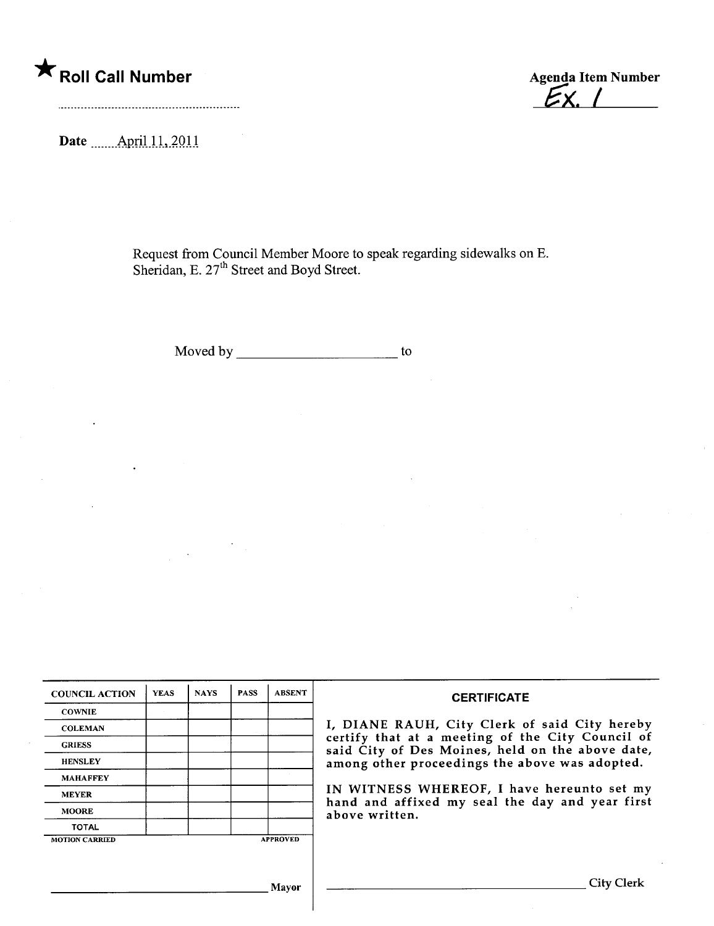## \* Roll Call Number Agenda Item Number

 $E_{X}$  /

Date \_\_\_\_\_ April 11, 2011

Request from Council Member Moore to speak regarding sidewalks on E. Sheridan, E. 21 Street and Boyd Street.

Moved by to

| <b>COUNCIL ACTION</b> | <b>YEAS</b> | <b>NAYS</b> | <b>PASS</b> | <b>ABSENT</b>   | <b>CERTIFICATE</b>                                                                                              |  |  |
|-----------------------|-------------|-------------|-------------|-----------------|-----------------------------------------------------------------------------------------------------------------|--|--|
| <b>COWNIE</b>         |             |             |             |                 |                                                                                                                 |  |  |
| <b>COLEMAN</b>        |             |             |             |                 | I, DIANE RAUH, City Clerk of said City hereby                                                                   |  |  |
| <b>GRIESS</b>         |             |             |             |                 | certify that at a meeting of the City Council of<br>said City of Des Moines, held on the above date,            |  |  |
| <b>HENSLEY</b>        |             |             |             |                 | among other proceedings the above was adopted.                                                                  |  |  |
| <b>MAHAFFEY</b>       |             |             |             |                 | IN WITNESS WHEREOF, I have hereunto set my<br>hand and affixed my seal the day and year first<br>above written. |  |  |
| <b>MEYER</b>          |             |             |             |                 |                                                                                                                 |  |  |
| <b>MOORE</b>          |             |             |             |                 |                                                                                                                 |  |  |
| <b>TOTAL</b>          |             |             |             |                 |                                                                                                                 |  |  |
| <b>MOTION CARRIED</b> |             |             |             | <b>APPROVED</b> |                                                                                                                 |  |  |

Mayor City Clerk